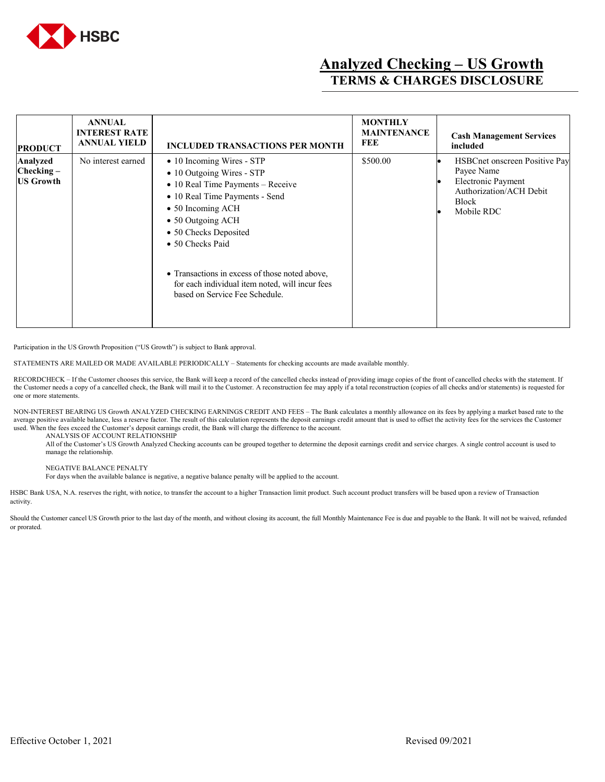

## **Analyzed Checking – US Growth TERMS & CHARGES DISCLOSURE**

| <b>PRODUCT</b>                               | <b>ANNUAL</b><br><b>INTEREST RATE</b><br><b>ANNUAL YIELD</b> | <b>INCLUDED TRANSACTIONS PER MONTH</b>                                                                                                                                                                                                                                                                                                                                      | <b>MONTHLY</b><br><b>MAINTENANCE</b><br>FEE | <b>Cash Management Services</b><br>included                                                                                       |
|----------------------------------------------|--------------------------------------------------------------|-----------------------------------------------------------------------------------------------------------------------------------------------------------------------------------------------------------------------------------------------------------------------------------------------------------------------------------------------------------------------------|---------------------------------------------|-----------------------------------------------------------------------------------------------------------------------------------|
| Analyzed<br>$Checking -$<br><b>US Growth</b> | No interest earned                                           | • 10 Incoming Wires - STP<br>• 10 Outgoing Wires - STP<br>$\bullet$ 10 Real Time Payments – Receive<br>• 10 Real Time Payments - Send<br>$\bullet$ 50 Incoming ACH<br>• 50 Outgoing ACH<br>• 50 Checks Deposited<br>• 50 Checks Paid<br>• Transactions in excess of those noted above,<br>for each individual item noted, will incur fees<br>based on Service Fee Schedule. | \$500.00                                    | HSBCnet onscreen Positive Pay<br>Payee Name<br><b>Electronic Payment</b><br>Authorization/ACH Debit<br><b>Block</b><br>Mobile RDC |

Participation in the US Growth Proposition ("US Growth") is subject to Bank approval.

STATEMENTS ARE MAILED OR MADE AVAILABLE PERIODICALLY – Statements for checking accounts are made available monthly.

RECORDCHECK - If the Customer chooses this service, the Bank will keep a record of the cancelled checks instead of providing image copies of the front of cancelled checks with the statement. If the Customer needs a copy of a cancelled check, the Bank will mail it to the Customer. A reconstruction fee may apply if a total reconstruction (copies of all checks and/or statements) is requested for one or more statements.

NON-INTEREST BEARING US Growth ANALYZED CHECKING EARNINGS CREDIT AND FEES – The Bank calculates a monthly allowance on its fees by applying a market based rate to the average positive available balance, less a reserve factor. The result of this calculation represents the deposit earnings credit amount that is used to offset the activity fees for the services the Customer used. When the fees exceed the Customer's deposit earnings credit, the Bank will charge the difference to the account.

ANALYSIS OF ACCOUNT RELATIONSHIP

All of the Customer's US Growth Analyzed Checking accounts can be grouped together to determine the deposit earnings credit and service charges. A single control account is used to manage the relationship.

## NEGATIVE BALANCE PENALTY

For days when the available balance is negative, a negative balance penalty will be applied to the account.

HSBC Bank USA, N.A. reserves the right, with notice, to transfer the account to a higher Transaction limit product. Such account product transfers will be based upon a review of Transaction activity.

Should the Customer cancel US Growth prior to the last day of the month, and without closing its account, the full Monthly Maintenance Fee is due and payable to the Bank. It will not be waived, refunded or prorated.